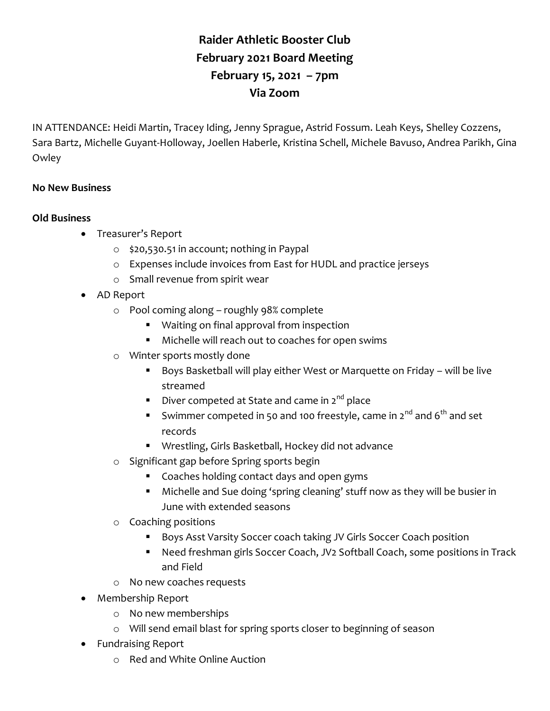## **Raider Athletic Booster Club February 2021 Board Meeting February 15, 2021 – 7pm Via Zoom**

IN ATTENDANCE: Heidi Martin, Tracey Iding, Jenny Sprague, Astrid Fossum. Leah Keys, Shelley Cozzens, Sara Bartz, Michelle Guyant-Holloway, Joellen Haberle, Kristina Schell, Michele Bavuso, Andrea Parikh, Gina **Owley** 

## **No New Business**

## **Old Business**

- Treasurer's Report
	- o \$20,530.51 in account; nothing in Paypal
	- o Expenses include invoices from East for HUDL and practice jerseys
	- o Small revenue from spirit wear
- AD Report
	- o Pool coming along roughly 98% complete
		- Waiting on final approval from inspection
		- Michelle will reach out to coaches for open swims
	- o Winter sports mostly done
		- Boys Basketball will play either West or Marquette on Friday will be live streamed
		- Diver competed at State and came in  $2^{nd}$  place
		- Swimmer competed in 50 and 100 freestyle, came in  $2^{nd}$  and  $6^{th}$  and set records
		- Wrestling, Girls Basketball, Hockey did not advance
	- o Significant gap before Spring sports begin
		- Coaches holding contact days and open gyms
		- Michelle and Sue doing 'spring cleaning' stuff now as they will be busier in June with extended seasons
	- o Coaching positions
		- Boys Asst Varsity Soccer coach taking JV Girls Soccer Coach position
		- Need freshman girls Soccer Coach, JV2 Softball Coach, some positions in Track and Field
	- o No new coaches requests
- Membership Report
	- o No new memberships
	- o Will send email blast for spring sports closer to beginning of season
- Fundraising Report
	- o Red and White Online Auction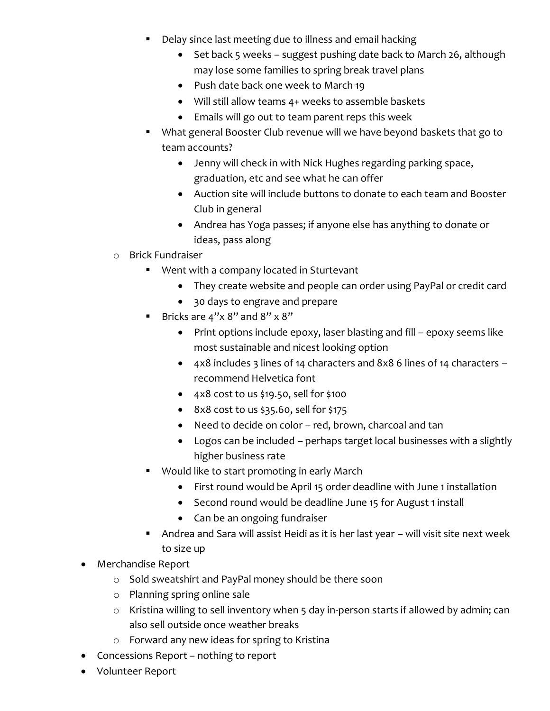- **Delay since last meeting due to illness and email hacking** 
	- Set back 5 weeks suggest pushing date back to March 26, although may lose some families to spring break travel plans
	- Push date back one week to March 19
	- Will still allow teams 4+ weeks to assemble baskets
	- Emails will go out to team parent reps this week
- What general Booster Club revenue will we have beyond baskets that go to team accounts?
	- Jenny will check in with Nick Hughes regarding parking space, graduation, etc and see what he can offer
	- Auction site will include buttons to donate to each team and Booster Club in general
	- Andrea has Yoga passes; if anyone else has anything to donate or ideas, pass along
- o Brick Fundraiser
	- Went with a company located in Sturtevant
		- They create website and people can order using PayPal or credit card
		- 30 days to engrave and prepare
	- Bricks are  $4" \times 8"$  and  $8" \times 8"$ 
		- Print options include epoxy, laser blasting and fill epoxy seems like most sustainable and nicest looking option
		- 4x8 includes 3 lines of 14 characters and 8x8 6 lines of 14 characters recommend Helvetica font
		- $\bullet$  4x8 cost to us \$19.50, sell for \$100
		- $\bullet$  8x8 cost to us \$35.60, sell for \$175
		- Need to decide on color red, brown, charcoal and tan
		- Logos can be included perhaps target local businesses with a slightly higher business rate
	- Would like to start promoting in early March
		- First round would be April 15 order deadline with June 1 installation
		- Second round would be deadline June 15 for August 1 install
		- Can be an ongoing fundraiser
	- Andrea and Sara will assist Heidi as it is her last year will visit site next week to size up
- Merchandise Report
	- o Sold sweatshirt and PayPal money should be there soon
	- o Planning spring online sale
	- o Kristina willing to sell inventory when 5 day in-person starts if allowed by admin; can also sell outside once weather breaks
	- o Forward any new ideas for spring to Kristina
- Concessions Report nothing to report
- Volunteer Report